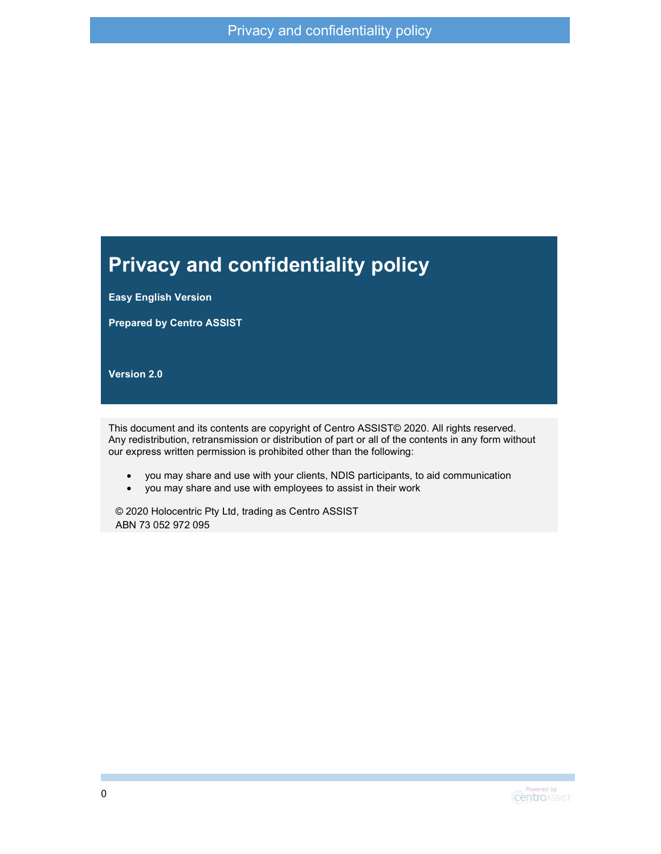#### Privacy and confidentiality policy

Easy English Version

Prepared by Centro ASSIST

Version 2.0

This document and its contents are copyright of Centro ASSIST© 2020. All rights reserved. Any redistribution, retransmission or distribution of part or all of the contents in any form without our express written permission is prohibited other than the following:

- you may share and use with your clients, NDIS participants, to aid communication
- you may share and use with employees to assist in their work

© 2020 Holocentric Pty Ltd, trading as Centro ASSIST ABN 73 052 972 095

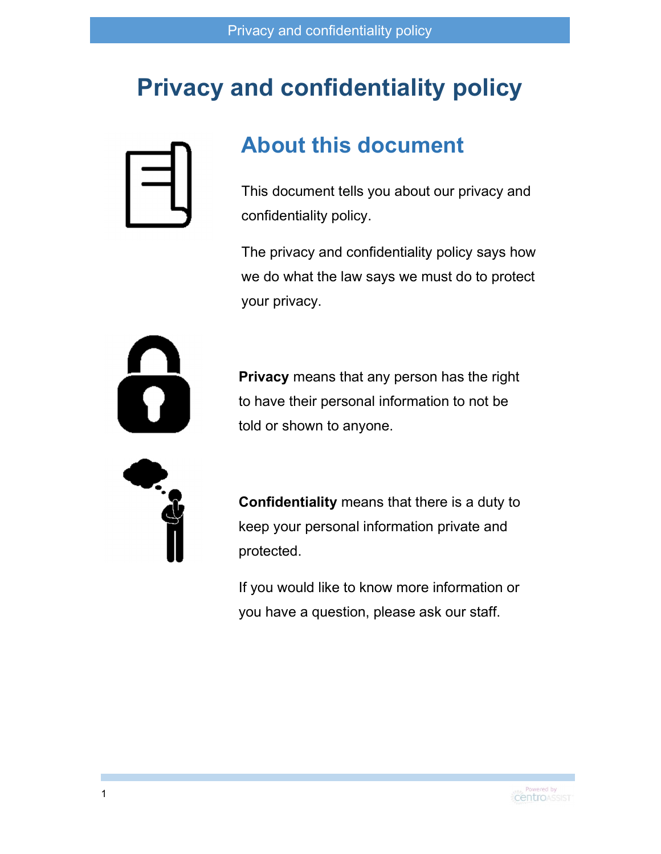### Privacy and confidentiality policy



#### About this document

This document tells you about our privacy and confidentiality policy.

The privacy and confidentiality policy says how we do what the law says we must do to protect your privacy.



Privacy means that any person has the right to have their personal information to not be told or shown to anyone.



Confidentiality means that there is a duty to keep your personal information private and protected.

If you would like to know more information or you have a question, please ask our staff.

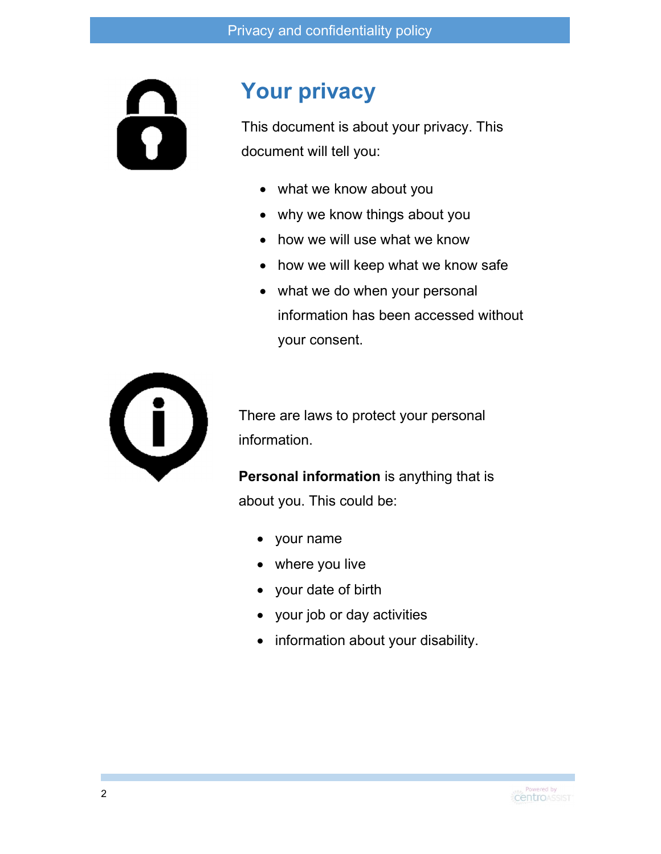6

#### Your privacy

This document is about your privacy. This document will tell you:

- what we know about you
- why we know things about you
- how we will use what we know
- how we will keep what we know safe
- what we do when your personal information has been accessed without your consent.



There are laws to protect your personal information.

Personal information is anything that is about you. This could be:

- your name
- where you live
- your date of birth
- your job or day activities
- information about your disability.

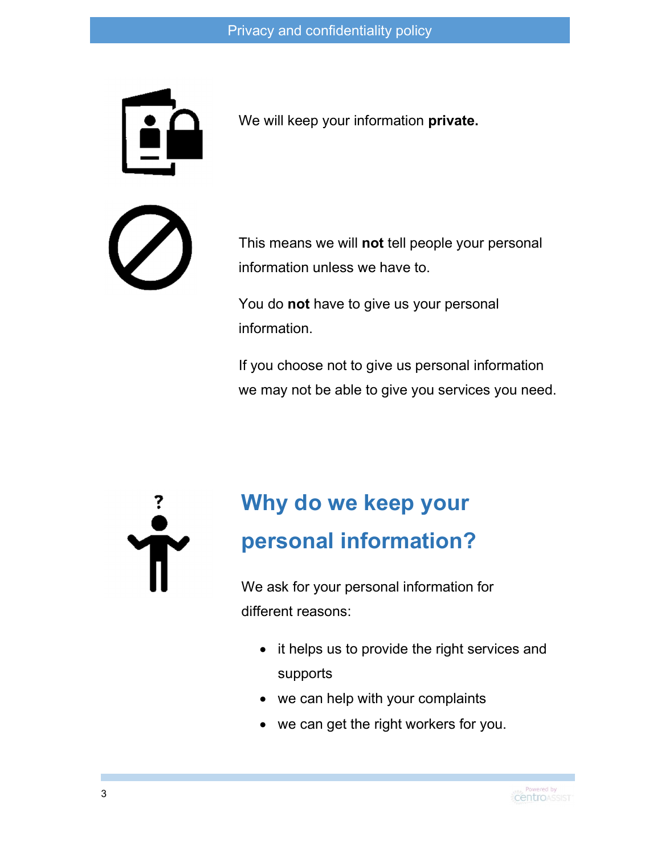

We will keep your information private.

This means we will not tell people your personal information unless we have to.

You do not have to give us your personal information.

If you choose not to give us personal information we may not be able to give you services you need.

### Why do we keep your personal information?

We ask for your personal information for different reasons:

- it helps us to provide the right services and supports
- we can help with your complaints
- we can get the right workers for you.

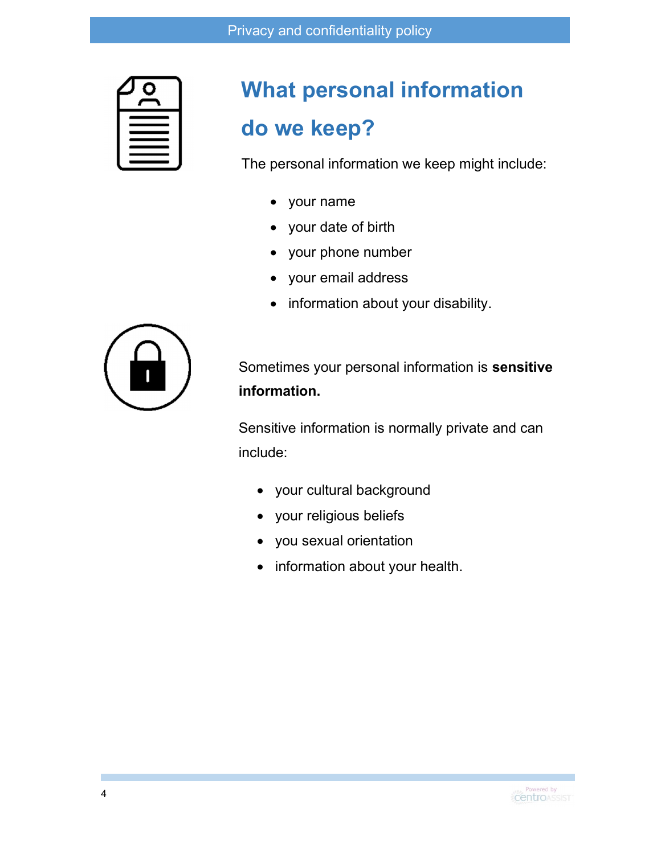## What personal information do we keep?

The personal information we keep might include:

- your name
- your date of birth
- your phone number
- your email address
- information about your disability.



Sometimes your personal information is sensitive information.

Sensitive information is normally private and can include:

- your cultural background
- your religious beliefs
- you sexual orientation
- information about your health.

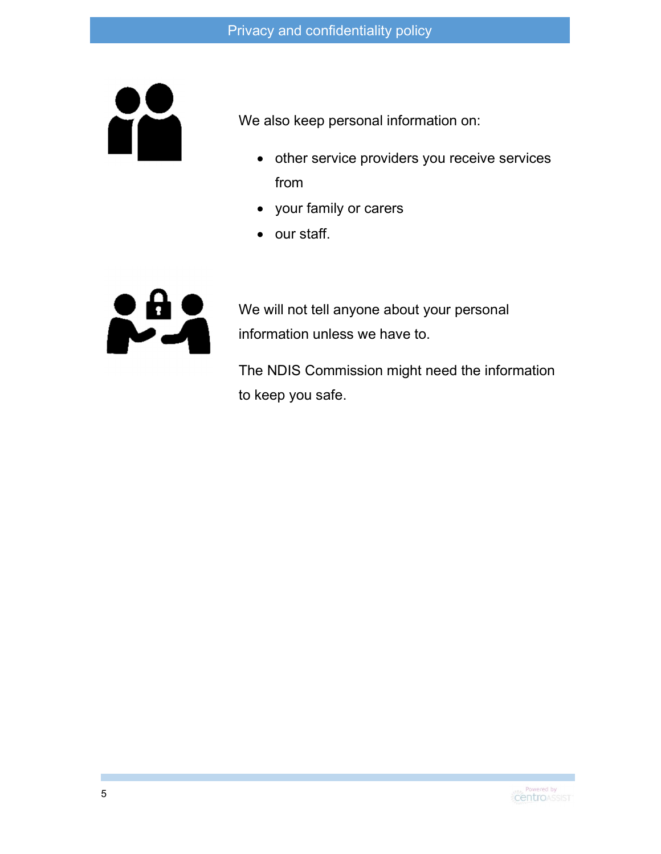

We also keep personal information on:

- other service providers you receive services from
- your family or carers
- our staff.



We will not tell anyone about your personal information unless we have to.

The NDIS Commission might need the information to keep you safe.

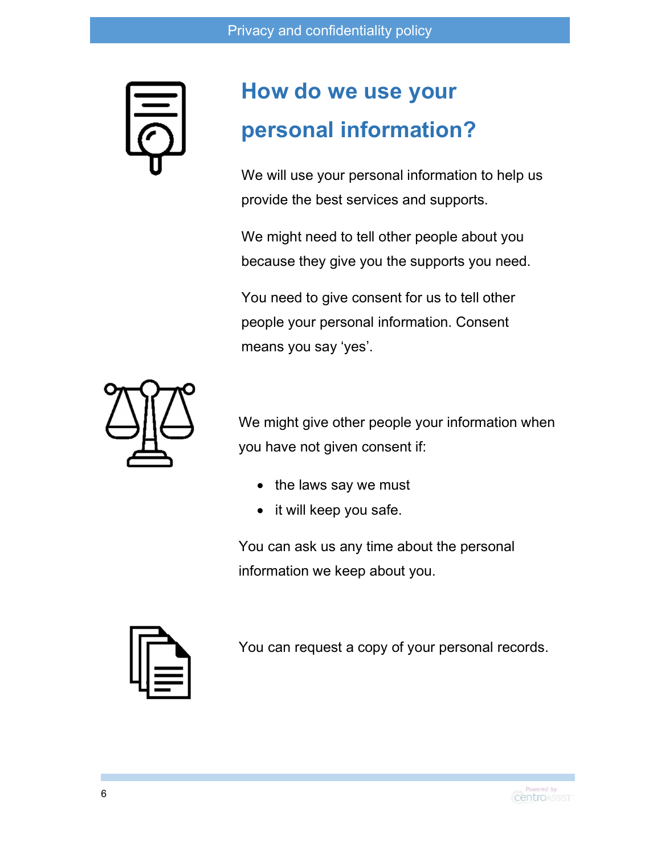

### How do we use your personal information?

We will use your personal information to help us provide the best services and supports.

We might need to tell other people about you because they give you the supports you need.

You need to give consent for us to tell other people your personal information. Consent means you say 'yes'.



We might give other people your information when you have not given consent if:

- the laws say we must
- it will keep you safe.

You can ask us any time about the personal information we keep about you.



You can request a copy of your personal records.

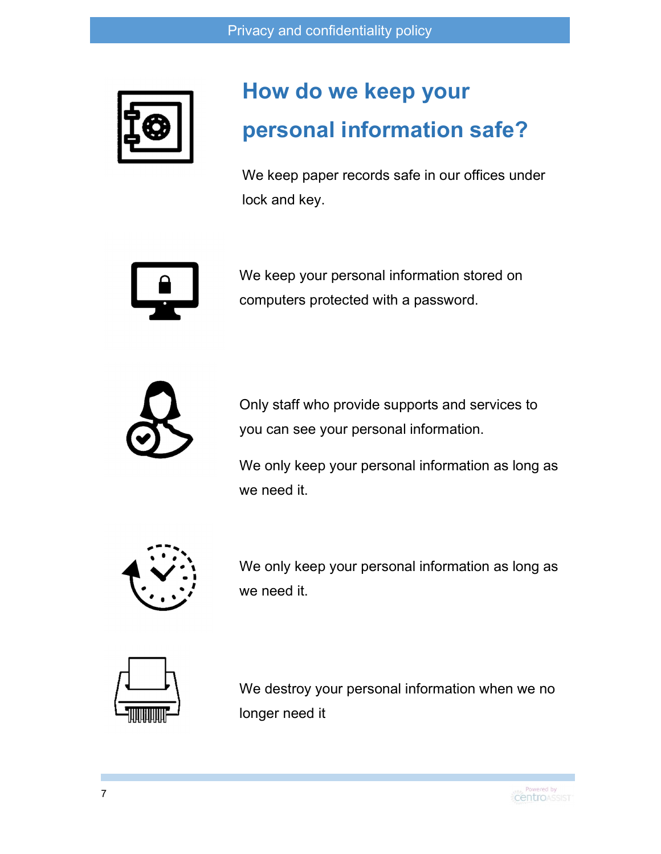

### How do we keep your personal information safe?

We keep paper records safe in our offices under lock and key.



We keep your personal information stored on computers protected with a password.



Only staff who provide supports and services to you can see your personal information.

We only keep your personal information as long as we need it.



We only keep your personal information as long as we need it.



We destroy your personal information when we no longer need it